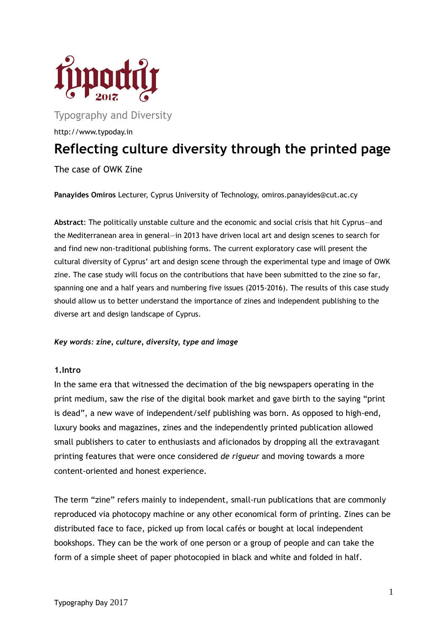

Typography and Diversity

http://www.typoday.in

# **Reflecting culture diversity through the printed page**

The case of OWK Zine

**Panayides Omiros** Lecturer, Cyprus University of Technology, omiros.panayides@cut.ac.cy

**Abstract**: The politically unstable culture and the economic and social crisis that hit Cyprus—and the Mediterranean area in general—in 2013 have driven local art and design scenes to search for and find new non-traditional publishing forms. The current exploratory case will present the cultural diversity of Cyprus' art and design scene through the experimental type and image of OWK zine. The case study will focus on the contributions that have been submitted to the zine so far, spanning one and a half years and numbering five issues (2015-2016). The results of this case study should allow us to better understand the importance of zines and independent publishing to the diverse art and design landscape of Cyprus.

# *Key words: zine, culture, diversity, type and image*

#### **1.Intro**

In the same era that witnessed the decimation of the big newspapers operating in the print medium, saw the rise of the digital book market and gave birth to the saying "print is dead", a new wave of independent/self publishing was born. As opposed to high-end, luxury books and magazines, zines and the independently printed publication allowed small publishers to cater to enthusiasts and aficionados by dropping all the extravagant printing features that were once considered *de rigueur* and moving towards a more content-oriented and honest experience.

The term "zine" refers mainly to independent, small-run publications that are commonly reproduced via photocopy machine or any other economical form of printing. Zines can be distributed face to face, picked up from local cafés or bought at local independent bookshops. They can be the work of one person or a group of people and can take the form of a simple sheet of paper photocopied in black and white and folded in half.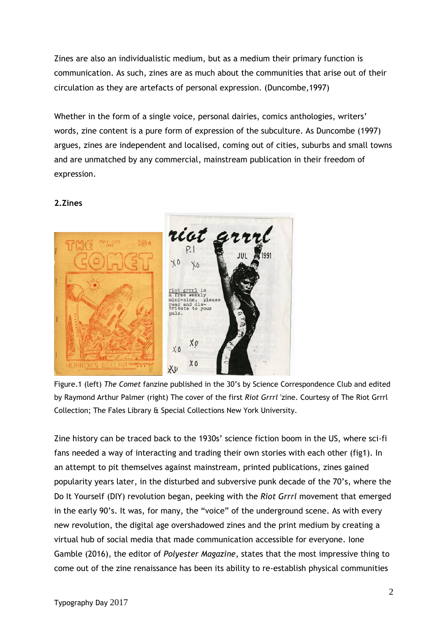Zines are also an individualistic medium, but as a medium their primary function is communication. As such, zines are as much about the communities that arise out of their circulation as they are artefacts of personal expression. (Duncombe,1997)

Whether in the form of a single voice, personal dairies, comics anthologies, writers' words, zine content is a pure form of expression of the subculture. As Duncombe (1997) argues, zines are independent and localised, coming out of cities, suburbs and small towns and are unmatched by any commercial, mainstream publication in their freedom of expression.

# **2.Zines**



Figure.1 (left) *The Comet* fanzine published in the 30's by Science Correspondence Club and edited by Raymond Arthur Palmer (right) The cover of the first *Riot Grrrl* 'zine. Courtesy of The Riot Grrrl Collection; The Fales Library & Special Collections New York University.

Zine history can be traced back to the 1930s' science fiction boom in the US, where sci-fi fans needed a way of interacting and trading their own stories with each other (fig1). In an attempt to pit themselves against mainstream, printed publications, zines gained popularity years later, in the disturbed and subversive punk decade of the 70's, where the Do It Yourself (DIY) revolution began, peeking with the *Riot Grrrl* movement that emerged in the early 90's. It was, for many, the "voice" of the underground scene. As with every new revolution, the digital age overshadowed zines and the print medium by creating a virtual hub of social media that made communication accessible for everyone. Ione Gamble (2016), the editor of *Polyester Magazine*, states that the most impressive thing to come out of the zine renaissance has been its ability to re-establish physical communities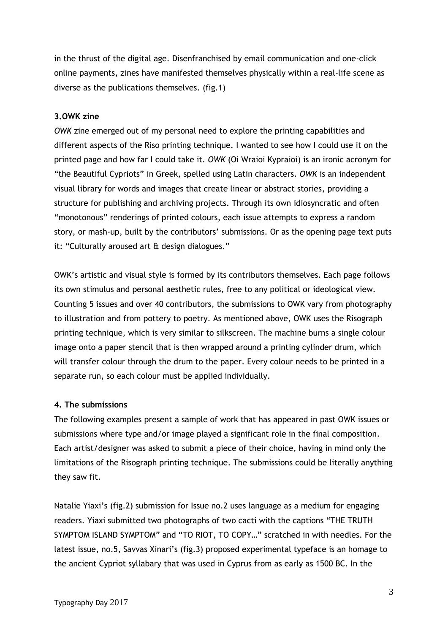in the thrust of the digital age. Disenfranchised by email communication and one-click online payments, zines have manifested themselves physically within a real-life scene as diverse as the publications themselves. (fig.1)

# **3.OWK zine**

*OWK* zine emerged out of my personal need to explore the printing capabilities and different aspects of the Riso printing technique. I wanted to see how I could use it on the printed page and how far I could take it. *OWK* (Oi Wraioi Kypraioi) is an ironic acronym for "the Beautiful Cypriots" in Greek, spelled using Latin characters. *OWK* is an independent visual library for words and images that create linear or abstract stories, providing a structure for publishing and archiving projects. Through its own idiosyncratic and often "monotonous" renderings of printed colours, each issue attempts to express a random story, or mash-up, built by the contributors' submissions. Or as the opening page text puts it: "Culturally aroused art & design dialogues."

OWK's artistic and visual style is formed by its contributors themselves. Each page follows its own stimulus and personal aesthetic rules, free to any political or ideological view. Counting 5 issues and over 40 contributors, the submissions to OWK vary from photography to illustration and from pottery to poetry. As mentioned above, OWK uses the Risograph printing technique, which is very similar to silkscreen. The machine burns a single colour image onto a paper stencil that is then wrapped around a printing cylinder drum, which will transfer colour through the drum to the paper. Every colour needs to be printed in a separate run, so each colour must be applied individually.

# **4. The submissions**

The following examples present a sample of work that has appeared in past OWK issues or submissions where type and/or image played a significant role in the final composition. Each artist/designer was asked to submit a piece of their choice, having in mind only the limitations of the Risograph printing technique. The submissions could be literally anything they saw fit.

Natalie Yiaxi's (fig.2) submission for Issue no.2 uses language as a medium for engaging readers. Yiaxi submitted two photographs of two cacti with the captions "THE TRUTH SYMPTOM ISLAND SYMPTOM" and "TO RIOT, TO COPY…" scratched in with needles. For the latest issue, no.5, Savvas Xinari's (fig.3) proposed experimental typeface is an homage to the ancient Cypriot syllabary that was used in Cyprus from as early as 1500 BC. In the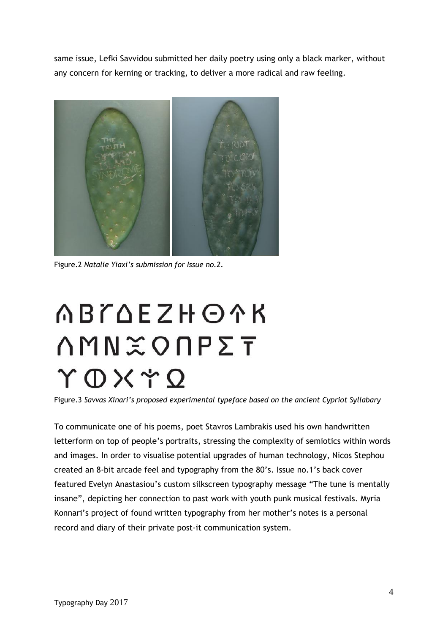same issue, Lefki Savvidou submitted her daily poetry using only a black marker, without any concern for kerning or tracking, to deliver a more radical and raw feeling.



Figure.2 *Natalie Yiaxi's submission for Issue no.2*.

# **ABTAEZHOAK ΛΜΝ**<sub>Φ</sub>ΟΠΡΣΤ ΥΦΧΥΏ

Figure.3 *Savvas Xinari's proposed experimental typeface based on the ancient Cypriot Syllabary*

To communicate one of his poems, poet Stavros Lambrakis used his own handwritten letterform on top of people's portraits, stressing the complexity of semiotics within words and images. In order to visualise potential upgrades of human technology, Nicos Stephou created an 8-bit arcade feel and typography from the 80's. Issue no.1's back cover featured Evelyn Anastasiou's custom silkscreen typography message "The tune is mentally insane", depicting her connection to past work with youth punk musical festivals. Myria Konnari's project of found written typography from her mother's notes is a personal record and diary of their private post-it communication system.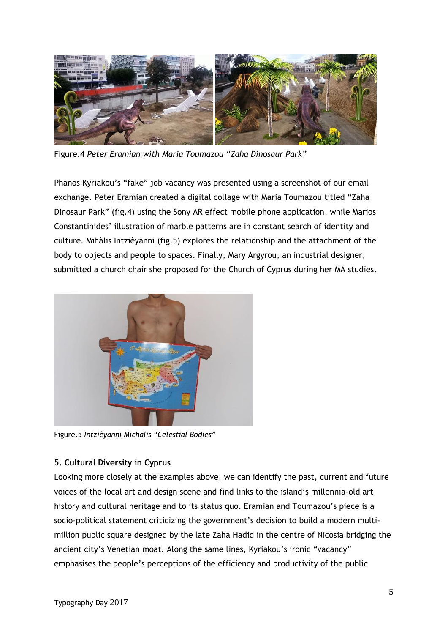

Figure.4 *Peter Eramian with Maria Toumazou "Zaha Dinosaur Park"*

Phanos Kyriakou's "fake" job vacancy was presented using a screenshot of our email exchange. Peter Eramian created a digital collage with Maria Toumazou titled "Zaha Dinosaur Park" (fig.4) using the Sony AR effect mobile phone application, while Marios Constantinides' illustration of marble patterns are in constant search of identity and culture. Mihàlis Intzièyanni (fig.5) explores the relationship and the attachment of the body to objects and people to spaces. Finally, Mary Argyrou, an industrial designer, submitted a church chair she proposed for the Church of Cyprus during her MA studies.



Figure.5 *Intzièyanni Michalis "Celestial Bodies"*

# **5. Cultural Diversity in Cyprus**

Looking more closely at the examples above, we can identify the past, current and future voices of the local art and design scene and find links to the island's millennia-old art history and cultural heritage and to its status quo. Eramian and Toumazou's piece is a socio-political statement criticizing the government's decision to build a modern multimillion public square designed by the late Zaha Hadid in the centre of Nicosia bridging the ancient city's Venetian moat. Along the same lines, Kyriakou's ironic "vacancy" emphasises the people's perceptions of the efficiency and productivity of the public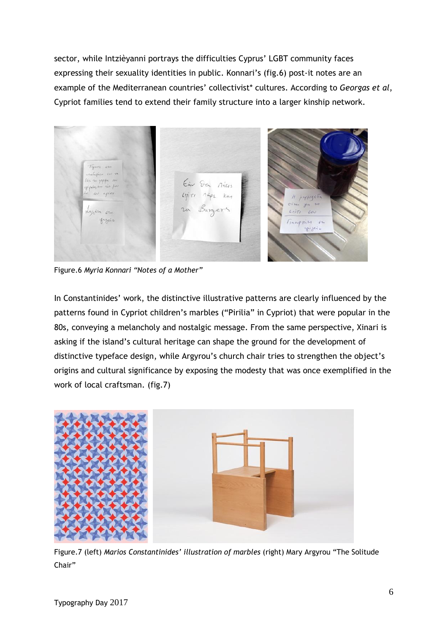sector, while Intzièyanni portrays the difficulties Cyprus' LGBT community faces expressing their sexuality identities in public. Konnari's (fig.6) post-it notes are an example of the Mediterranean countries' collectivist\* cultures. According to *Georgas et al*, Cypriot families tend to extend their family structure into a larger kinship network.



Figure.6 *Myria Konnari "Notes of a Mother"*

In Constantinides' work, the distinctive illustrative patterns are clearly influenced by the patterns found in Cypriot children's marbles ("Pirilia" in Cypriot) that were popular in the 80s, conveying a melancholy and nostalgic message. From the same perspective, Xinari is asking if the island's cultural heritage can shape the ground for the development of distinctive typeface design, while Argyrou's church chair tries to strengthen the object's origins and cultural significance by exposing the modesty that was once exemplified in the work of local craftsman. (fig.7)



Figure.7 (left) *Marios Constantinides' illustration of marbles* (right) Mary Argyrou "The Solitude Chair"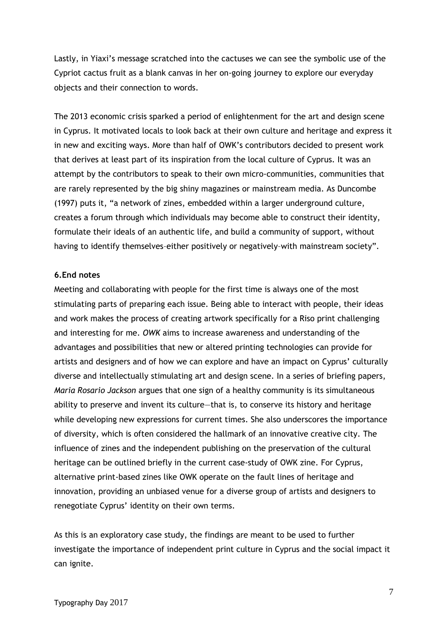Lastly, in Yiaxi's message scratched into the cactuses we can see the symbolic use of the Cypriot cactus fruit as a blank canvas in her on-going journey to explore our everyday objects and their connection to words.

The 2013 economic crisis sparked a period of enlightenment for the art and design scene in Cyprus. It motivated locals to look back at their own culture and heritage and express it in new and exciting ways. More than half of OWK's contributors decided to present work that derives at least part of its inspiration from the local culture of Cyprus. It was an attempt by the contributors to speak to their own micro-communities, communities that are rarely represented by the big shiny magazines or mainstream media. As Duncombe (1997) puts it, "a network of zines, embedded within a larger underground culture, creates a forum through which individuals may become able to construct their identity, formulate their ideals of an authentic life, and build a community of support, without having to identify themselves–either positively or negatively–with mainstream society".

### **6.End notes**

Meeting and collaborating with people for the first time is always one of the most stimulating parts of preparing each issue. Being able to interact with people, their ideas and work makes the process of creating artwork specifically for a Riso print challenging and interesting for me. *OWK* aims to increase awareness and understanding of the advantages and possibilities that new or altered printing technologies can provide for artists and designers and of how we can explore and have an impact on Cyprus' culturally diverse and intellectually stimulating art and design scene. In a series of briefing papers, *Maria Rosario Jackson* argues that one sign of a healthy community is its simultaneous ability to preserve and invent its culture—that is, to conserve its history and heritage while developing new expressions for current times. She also underscores the importance of diversity, which is often considered the hallmark of an innovative creative city. The influence of zines and the independent publishing on the preservation of the cultural heritage can be outlined briefly in the current case-study of OWK zine. For Cyprus, alternative print-based zines like OWK operate on the fault lines of heritage and innovation, providing an unbiased venue for a diverse group of artists and designers to renegotiate Cyprus' identity on their own terms.

As this is an exploratory case study, the findings are meant to be used to further investigate the importance of independent print culture in Cyprus and the social impact it can ignite.